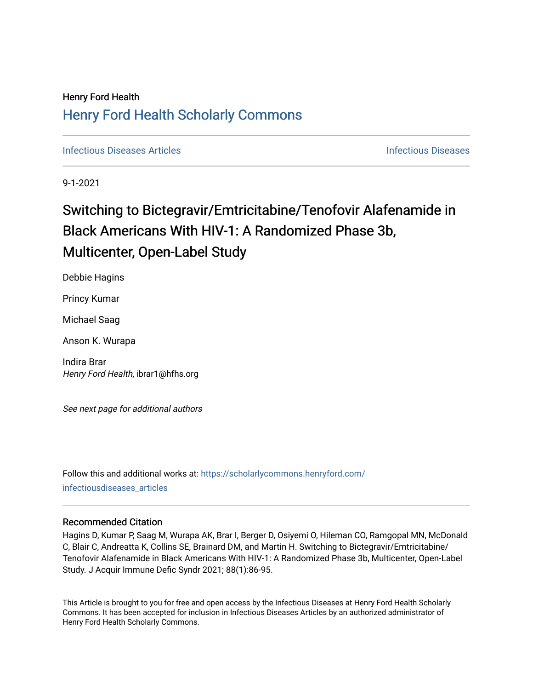## Henry Ford Health [Henry Ford Health Scholarly Commons](https://scholarlycommons.henryford.com/)

**[Infectious Diseases](https://scholarlycommons.henryford.com/infectiousdiseases) Articles** Infectious Diseases

9-1-2021

# Switching to Bictegravir/Emtricitabine/Tenofovir Alafenamide in Black Americans With HIV-1: A Randomized Phase 3b, Multicenter, Open-Label Study

Debbie Hagins

Princy Kumar

Michael Saag

Anson K. Wurapa

Indira Brar Henry Ford Health, ibrar1@hfhs.org

See next page for additional authors

Follow this and additional works at: [https://scholarlycommons.henryford.com/](https://scholarlycommons.henryford.com/infectiousdiseases_articles?utm_source=scholarlycommons.henryford.com%2Finfectiousdiseases_articles%2F160&utm_medium=PDF&utm_campaign=PDFCoverPages) [infectiousdiseases\\_articles](https://scholarlycommons.henryford.com/infectiousdiseases_articles?utm_source=scholarlycommons.henryford.com%2Finfectiousdiseases_articles%2F160&utm_medium=PDF&utm_campaign=PDFCoverPages) 

## Recommended Citation

Hagins D, Kumar P, Saag M, Wurapa AK, Brar I, Berger D, Osiyemi O, Hileman CO, Ramgopal MN, McDonald C, Blair C, Andreatta K, Collins SE, Brainard DM, and Martin H. Switching to Bictegravir/Emtricitabine/ Tenofovir Alafenamide in Black Americans With HIV-1: A Randomized Phase 3b, Multicenter, Open-Label Study. J Acquir Immune Defic Syndr 2021; 88(1):86-95.

This Article is brought to you for free and open access by the Infectious Diseases at Henry Ford Health Scholarly Commons. It has been accepted for inclusion in Infectious Diseases Articles by an authorized administrator of Henry Ford Health Scholarly Commons.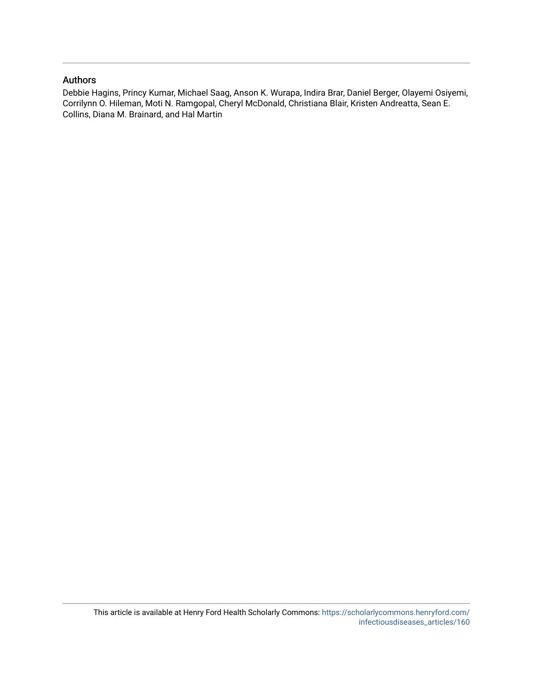## Authors

Debbie Hagins, Princy Kumar, Michael Saag, Anson K. Wurapa, Indira Brar, Daniel Berger, Olayemi Osiyemi, Corrilynn O. Hileman, Moti N. Ramgopal, Cheryl McDonald, Christiana Blair, Kristen Andreatta, Sean E. Collins, Diana M. Brainard, and Hal Martin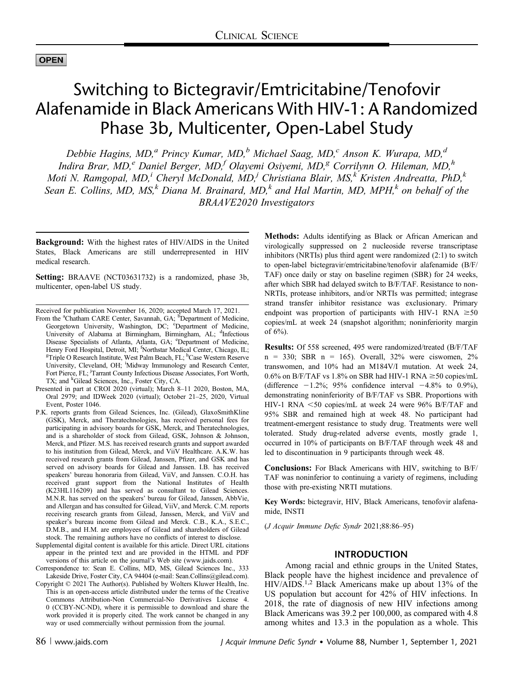## **OPEN**

## Switching to Bictegravir/Emtricitabine/Tenofovir Alafenamide in Black Americans With HIV-1: A Randomized Phase 3b, Multicenter, Open-Label Study

Debbie Hagins, MD,<sup>a</sup> Princy Kumar, MD,<sup>b</sup> Michael Saag, MD,<sup>c</sup> Anson K. Wurapa, MD,<sup>d</sup> Indira Brar, MD,<sup>e</sup> Daniel Berger, MD,<sup>f</sup> Olayemi Osiyemi, MD,<sup>g</sup> Corrilynn O. Hileman, MD,<sup>h</sup> Moti N. Ramgopal, MD,<sup>i</sup> Cheryl McDonald, MD,<sup>j</sup> Christiana Blair, MS,<sup>k</sup> Kristen Andreatta, PhD,<sup>k</sup> Sean E. Collins, MD, MS,<sup>k</sup> Diana M. Brainard, MD,<sup>k</sup> and Hal Martin, MD, MPH,<sup>k</sup> on behalf of the BRAAVE2020 Investigators

Background: With the highest rates of HIV/AIDS in the United States, Black Americans are still underrepresented in HIV medical research.

Setting: BRAAVE (NCT03631732) is a randomized, phase 3b, multicenter, open-label US study.

Received for publication November 16, 2020; accepted March 17, 2021.

- From the <sup>a</sup>Chatham CARE Center, Savannah, GA; <sup>b</sup>Department of Medicine, Georgetown University, Washington, DC; <sup>c</sup>Department of Medicine, University of Alabama at Birmingham, Birmingham, AL; <sup>d</sup>Infectious Disease Specialists of Atlanta, Atlanta, GA; <sup>e</sup>Department of Medicine, Henry Ford Hospital, Detroit, MI; <sup>f</sup>Northstar Medical Center, Chicago, IL;<br><sup>g</sup>Triple O Research Institute, West Palm Beach, EL: <sup>h</sup>Case Western Reserve Triple O Research Institute, West Palm Beach, FL; <sup>h</sup>Case Western Reserve University, Cleveland, OH; 'Midway Immunology and Research Center, Fort Pierce, FL; <sup>j</sup>Tarrant County Infectious Disease Associates, Fort Worth, TX; and <sup>k</sup>Gilead Sciences, Inc., Foster City, CA.
- Presented in part at CROI 2020 (virtual); March 8–11 2020, Boston, MA, Oral 2979; and IDWeek 2020 (virtual); October 21–25, 2020, Virtual Event, Poster 1046.
- P.K. reports grants from Gilead Sciences, Inc. (Gilead), GlaxoSmithKline (GSK), Merck, and Theratechnologies, has received personal fees for participating in advisory boards for GSK, Merck, and Theratechnologies, and is a shareholder of stock from Gilead, GSK, Johnson & Johnson, Merck, and Pfizer. M.S. has received research grants and support awarded to his institution from Gilead, Merck, and ViiV Healthcare. A.K.W. has received research grants from Gilead, Janssen, Pfizer, and GSK and has served on advisory boards for Gilead and Janssen. I.B. has received speakers' bureau honoraria from Gilead, ViiV, and Janssen. C.O.H. has received grant support from the National Institutes of Health (K23HL116209) and has served as consultant to Gilead Sciences. M.N.R. has served on the speakers' bureau for Gilead, Janssen, AbbVie, and Allergan and has consulted for Gilead, ViiV, and Merck. C.M. reports receiving research grants from Gilead, Janssen, Merck, and ViiV and speaker's bureau income from Gilead and Merck. C.B., K.A., S.E.C., D.M.B., and H.M. are employees of Gilead and shareholders of Gilead stock. The remaining authors have no conflicts of interest to disclose.
- Supplemental digital content is available for this article. Direct URL citations appear in the printed text and are provided in the HTML and PDF versions of this article on the journal's Web site ([www.jaids.com](http://www.jaids.com)).
- Correspondence to: Sean E. Collins, MD, MS, Gilead Sciences Inc., 333 Lakeside Drive, Foster City, CA 94404 (e-mail: [Sean.Collins@gilead.com\)](mailto:Sean.Collins@gilead.com).
- Copyright © 2021 The Author(s). Published by Wolters Kluwer Health, Inc. This is an open-access article distributed under the terms of the [Creative](http://creativecommons.org/licenses/by-nc-nd/4.0/) [Commons Attribution-Non Commercial-No Derivatives License 4.](http://creativecommons.org/licenses/by-nc-nd/4.0/) [0 \(CCBY-NC-ND\)](http://creativecommons.org/licenses/by-nc-nd/4.0/), where it is permissible to download and share the work provided it is properly cited. The work cannot be changed in any way or used commercially without permission from the journal.

Methods: Adults identifying as Black or African American and virologically suppressed on 2 nucleoside reverse transcriptase inhibitors (NRTIs) plus third agent were randomized (2:1) to switch to open-label bictegravir/emtricitabine/tenofovir alafenamide (B/F/ TAF) once daily or stay on baseline regimen (SBR) for 24 weeks, after which SBR had delayed switch to B/F/TAF. Resistance to non-NRTIs, protease inhibitors, and/or NRTIs was permitted; integrase strand transfer inhibitor resistance was exclusionary. Primary endpoint was proportion of participants with HIV-1 RNA  $\geq 50$ copies/mL at week 24 (snapshot algorithm; noninferiority margin of 6%).

Results: Of 558 screened, 495 were randomized/treated (B/F/TAF  $n = 330$ ; SBR  $n = 165$ ). Overall,  $32\%$  were ciswomen,  $2\%$ transwomen, and 10% had an M184V/I mutation. At week 24, 0.6% on B/F/TAF vs 1.8% on SBR had HIV-1 RNA  $\geq$ 50 copies/mL (difference  $-1.2\%$ ; 95% confidence interval  $-4.8\%$  to 0.9%), demonstrating noninferiority of B/F/TAF vs SBR. Proportions with HIV-1 RNA  $\leq 50$  copies/mL at week 24 were 96% B/F/TAF and 95% SBR and remained high at week 48. No participant had treatment-emergent resistance to study drug. Treatments were well tolerated. Study drug-related adverse events, mostly grade 1, occurred in 10% of participants on B/F/TAF through week 48 and led to discontinuation in 9 participants through week 48.

Conclusions: For Black Americans with HIV, switching to B/F/ TAF was noninferior to continuing a variety of regimens, including those with pre-existing NRTI mutations.

Key Words: bictegravir, HIV, Black Americans, tenofovir alafenamide, INSTI

(J Acquir Immune Defic Syndr 2021;88:86–95)

### INTRODUCTION

Among racial and ethnic groups in the United States, Black people have the highest incidence and prevalence of HIV/AIDS.1,2 Black Americans make up about 13% of the US population but account for 42% of HIV infections. In 2018, the rate of diagnosis of new HIV infections among Black Americans was 39.2 per 100,000, as compared with 4.8 among whites and 13.3 in the population as a whole. This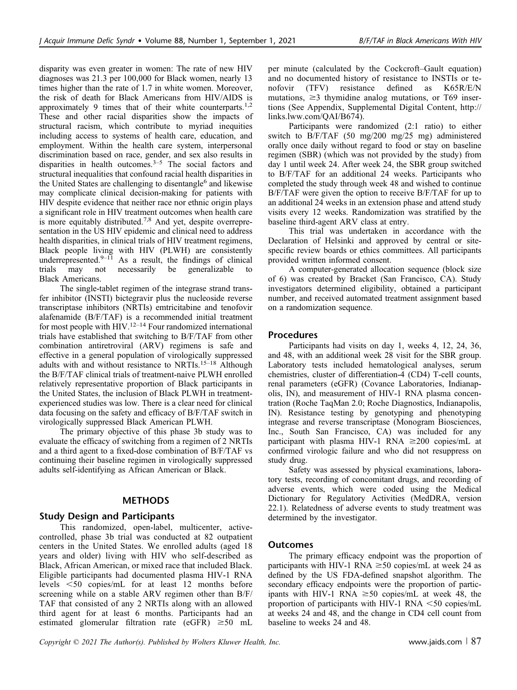disparity was even greater in women: The rate of new HIV diagnoses was 21.3 per 100,000 for Black women, nearly 13 times higher than the rate of 1.7 in white women. Moreover, the risk of death for Black Americans from HIV/AIDS is approximately 9 times that of their white counterparts.<sup>1,2</sup> These and other racial disparities show the impacts of structural racism, which contribute to myriad inequities including access to systems of health care, education, and employment. Within the health care system, interpersonal discrimination based on race, gender, and sex also results in disparities in health outcomes. $3-5$  The social factors and structural inequalities that confound racial health disparities in the United States are challenging to disentangle<sup>6</sup> and likewise may complicate clinical decision-making for patients with HIV despite evidence that neither race nor ethnic origin plays a significant role in HIV treatment outcomes when health care is more equitably distributed.7,8 And yet, despite overrepresentation in the US HIV epidemic and clinical need to address health disparities, in clinical trials of HIV treatment regimens, Black people living with HIV (PLWH) are consistently underrepresented. $9-11$  As a result, the findings of clinical trials may not necessarily be generalizable to Black Americans.

The single-tablet regimen of the integrase strand transfer inhibitor (INSTI) bictegravir plus the nucleoside reverse transcriptase inhibitors (NRTIs) emtricitabine and tenofovir alafenamide (B/F/TAF) is a recommended initial treatment for most people with  $HIV.<sup>12–14</sup>$  Four randomized international trials have established that switching to B/F/TAF from other combination antiretroviral (ARV) regimens is safe and effective in a general population of virologically suppressed adults with and without resistance to NRTIs.<sup>15–18</sup> Although the B/F/TAF clinical trials of treatment-naive PLWH enrolled relatively representative proportion of Black participants in the United States, the inclusion of Black PLWH in treatmentexperienced studies was low. There is a clear need for clinical data focusing on the safety and efficacy of B/F/TAF switch in virologically suppressed Black American PLWH.

The primary objective of this phase 3b study was to evaluate the efficacy of switching from a regimen of 2 NRTIs and a third agent to a fixed-dose combination of B/F/TAF vs continuing their baseline regimen in virologically suppressed adults self-identifying as African American or Black.

## METHODS

## Study Design and Participants

This randomized, open-label, multicenter, activecontrolled, phase 3b trial was conducted at 82 outpatient centers in the United States. We enrolled adults (aged 18 years and older) living with HIV who self-described as Black, African American, or mixed race that included Black. Eligible participants had documented plasma HIV-1 RNA levels <50 copies/mL for at least 12 months before screening while on a stable ARV regimen other than B/F/ TAF that consisted of any 2 NRTIs along with an allowed third agent for at least 6 months. Participants had an estimated glomerular filtration rate (eGFR)  $\geq 50$  mL per minute (calculated by the Cockcroft–Gault equation) and no documented history of resistance to INSTIs or tenofovir (TFV) resistance defined as K65R/E/N mutations,  $\geq$ 3 thymidine analog mutations, or T69 insertions (See Appendix, Supplemental Digital Content, [http://](http://links.lww.com/QAI/B674) [links.lww.com/QAI/B674](http://links.lww.com/QAI/B674)).

Participants were randomized (2:1 ratio) to either switch to B/F/TAF (50 mg/200 mg/25 mg) administered orally once daily without regard to food or stay on baseline regimen (SBR) (which was not provided by the study) from day 1 until week 24. After week 24, the SBR group switched to B/F/TAF for an additional 24 weeks. Participants who completed the study through week 48 and wished to continue B/F/TAF were given the option to receive B/F/TAF for up to an additional 24 weeks in an extension phase and attend study visits every 12 weeks. Randomization was stratified by the baseline third-agent ARV class at entry.

This trial was undertaken in accordance with the Declaration of Helsinki and approved by central or sitespecific review boards or ethics committees. All participants provided written informed consent.

A computer-generated allocation sequence (block size of 6) was created by Bracket (San Francisco, CA). Study investigators determined eligibility, obtained a participant number, and received automated treatment assignment based on a randomization sequence.

### Procedures

Participants had visits on day 1, weeks 4, 12, 24, 36, and 48, with an additional week 28 visit for the SBR group. Laboratory tests included hematological analyses, serum chemistries, cluster of differentiation-4 (CD4) T-cell counts, renal parameters (eGFR) (Covance Laboratories, Indianapolis, IN), and measurement of HIV-1 RNA plasma concentration (Roche TaqMan 2.0; Roche Diagnostics, Indianapolis, IN). Resistance testing by genotyping and phenotyping integrase and reverse transcriptase (Monogram Biosciences, Inc., South San Francisco, CA) was included for any participant with plasma HIV-1 RNA  $\geq$ 200 copies/mL at confirmed virologic failure and who did not resuppress on study drug.

Safety was assessed by physical examinations, laboratory tests, recording of concomitant drugs, and recording of adverse events, which were coded using the Medical Dictionary for Regulatory Activities (MedDRA, version 22.1). Relatedness of adverse events to study treatment was determined by the investigator.

## **Outcomes**

The primary efficacy endpoint was the proportion of participants with HIV-1 RNA  $\geq$ 50 copies/mL at week 24 as defined by the US FDA-defined snapshot algorithm. The secondary efficacy endpoints were the proportion of participants with HIV-1 RNA  $\geq 50$  copies/mL at week 48, the proportion of participants with HIV-1 RNA  $<$  50 copies/mL at weeks 24 and 48, and the change in CD4 cell count from baseline to weeks 24 and 48.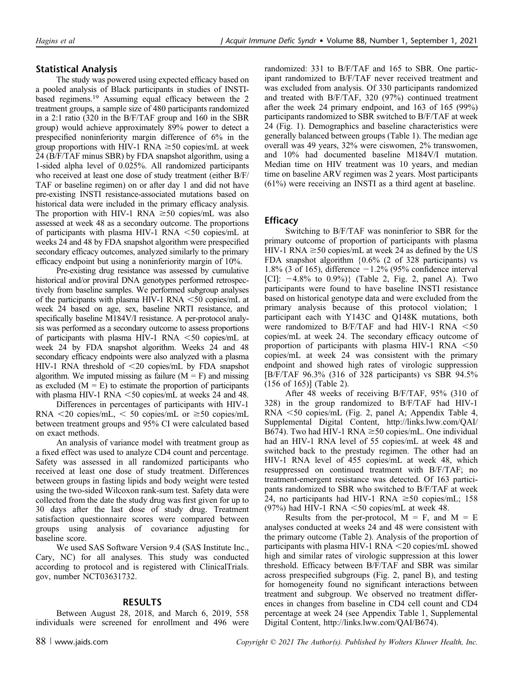## Statistical Analysis

The study was powered using expected efficacy based on a pooled analysis of Black participants in studies of INSTIbased regimens.19 Assuming equal efficacy between the 2 treatment groups, a sample size of 480 participants randomized in a 2:1 ratio (320 in the B/F/TAF group and 160 in the SBR group) would achieve approximately 89% power to detect a prespecified noninferiority margin difference of 6% in the group proportions with HIV-1 RNA  $\geq 50$  copies/mL at week 24 (B/F/TAF minus SBR) by FDA snapshot algorithm, using a 1-sided alpha level of 0.025%. All randomized participants who received at least one dose of study treatment (either B/F/ TAF or baseline regimen) on or after day 1 and did not have pre-existing INSTI resistance-associated mutations based on historical data were included in the primary efficacy analysis. The proportion with HIV-1 RNA  $\geq 50$  copies/mL was also assessed at week 48 as a secondary outcome. The proportions of participants with plasma HIV-1 RNA  $\leq$ 50 copies/mL at weeks 24 and 48 by FDA snapshot algorithm were prespecified secondary efficacy outcomes, analyzed similarly to the primary efficacy endpoint but using a noninferiority margin of 10%.

Pre-existing drug resistance was assessed by cumulative historical and/or proviral DNA genotypes performed retrospectively from baseline samples. We performed subgroup analyses of the participants with plasma HIV-1 RNA  $\leq$ 50 copies/mL at week 24 based on age, sex, baseline NRTI resistance, and specifically baseline M184V/I resistance. A per-protocol analysis was performed as a secondary outcome to assess proportions of participants with plasma HIV-1 RNA  $\leq 50$  copies/mL at week 24 by FDA snapshot algorithm. Weeks 24 and 48 secondary efficacy endpoints were also analyzed with a plasma HIV-1 RNA threshold of  $\leq$ 20 copies/mL by FDA snapshot algorithm. We imputed missing as failure  $(M = F)$  and missing as excluded  $(M = E)$  to estimate the proportion of participants with plasma HIV-1 RNA  $\leq$ 50 copies/mL at weeks 24 and 48.

Differences in percentages of participants with HIV-1 RNA  $\leq$ 20 copies/mL,  $\leq$  50 copies/mL or  $\geq$ 50 copies/mL between treatment groups and 95% CI were calculated based on exact methods.

An analysis of variance model with treatment group as a fixed effect was used to analyze CD4 count and percentage. Safety was assessed in all randomized participants who received at least one dose of study treatment. Differences between groups in fasting lipids and body weight were tested using the two-sided Wilcoxon rank-sum test. Safety data were collected from the date the study drug was first given for up to 30 days after the last dose of study drug. Treatment satisfaction questionnaire scores were compared between groups using analysis of covariance adjusting for baseline score.

We used SAS Software Version 9.4 (SAS Institute Inc., Cary, NC) for all analyses. This study was conducted according to protocol and is registered with [ClinicalTrials.](http://ClinicalTrials.gov) [gov,](http://ClinicalTrials.gov) number NCT03631732.

## RESULTS

Between August 28, 2018, and March 6, 2019, 558 individuals were screened for enrollment and 496 were randomized: 331 to B/F/TAF and 165 to SBR. One participant randomized to B/F/TAF never received treatment and was excluded from analysis. Of 330 participants randomized and treated with B/F/TAF, 320 (97%) continued treatment after the week 24 primary endpoint, and 163 of 165 (99%) participants randomized to SBR switched to B/F/TAF at week 24 (Fig. 1). Demographics and baseline characteristics were generally balanced between groups (Table 1). The median age overall was 49 years, 32% were ciswomen, 2% transwomen, and 10% had documented baseline M184V/I mutation. Median time on HIV treatment was 10 years, and median time on baseline ARV regimen was 2 years. Most participants (61%) were receiving an INSTI as a third agent at baseline.

## **Efficacy**

Switching to B/F/TAF was noninferior to SBR for the primary outcome of proportion of participants with plasma HIV-1 RNA  $\geq$ 50 copies/mL at week 24 as defined by the US FDA snapshot algorithm {0.6% (2 of 328 participants) vs 1.8% (3 of 165), difference  $-1.2%$  (95% confidence interval [CI]:  $-4.8\%$  to 0.9%)} (Table 2, Fig. 2, panel A). Two participants were found to have baseline INSTI resistance based on historical genotype data and were excluded from the primary analysis because of this protocol violation; 1 participant each with Y143C and Q148K mutations, both were randomized to  $B/F/TAF$  and had HIV-1 RNA <50 copies/mL at week 24. The secondary efficacy outcome of proportion of participants with plasma HIV-1 RNA  $<$  50 copies/mL at week 24 was consistent with the primary endpoint and showed high rates of virologic suppression [B/F/TAF 96.3% (316 of 328 participants) vs SBR 94.5% (156 of 165)] (Table 2).

After 48 weeks of receiving B/F/TAF, 95% (310 of 328) in the group randomized to B/F/TAF had HIV-1  $RNA < 50$  copies/mL (Fig. 2, panel A; Appendix Table 4, Supplemental Digital Content, [http://links.lww.com/QAI/](http://links.lww.com/QAI/B674) [B674\)](http://links.lww.com/QAI/B674). Two had HIV-1 RNA  $\geq$ 50 copies/mL. One individual had an HIV-1 RNA level of 55 copies/mL at week 48 and switched back to the prestudy regimen. The other had an HIV-1 RNA level of 455 copies/mL at week 48, which resuppressed on continued treatment with B/F/TAF; no treatment-emergent resistance was detected. Of 163 participants randomized to SBR who switched to B/F/TAF at week 24, no participants had HIV-1 RNA  $\geq 50$  copies/mL; 158 (97%) had HIV-1 RNA  $<$  50 copies/mL at week 48.

Results from the per-protocol,  $M = F$ , and  $M = E$ analyses conducted at weeks 24 and 48 were consistent with the primary outcome (Table 2). Analysis of the proportion of participants with plasma HIV-1 RNA  $<$  20 copies/mL showed high and similar rates of virologic suppression at this lower threshold. Efficacy between B/F/TAF and SBR was similar across prespecified subgroups (Fig. 2, panel B), and testing for homogeneity found no significant interactions between treatment and subgroup. We observed no treatment differences in changes from baseline in CD4 cell count and CD4 percentage at week 24 (see Appendix Table 1, Supplemental Digital Content,<http://links.lww.com/QAI/B674>).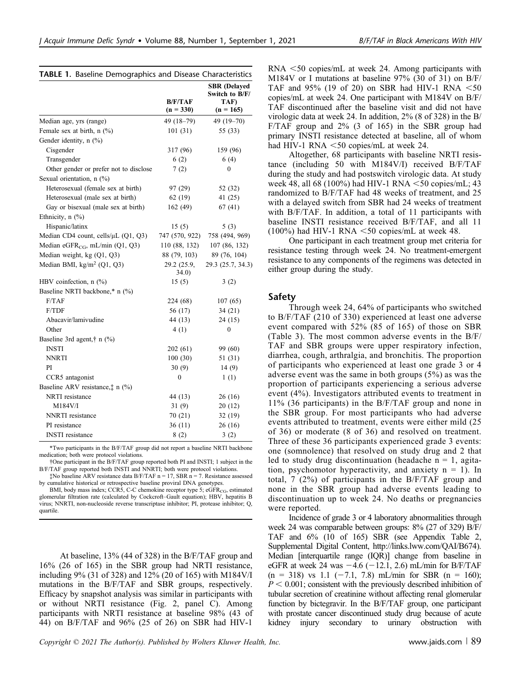|                                               | B/F/TAF<br>$(n = 330)$ | <b>SBR</b> (Delayed<br>Switch to B/F/<br>TAF)<br>$(n = 165)$ |
|-----------------------------------------------|------------------------|--------------------------------------------------------------|
| Median age, yrs (range)                       | 49 (18-79)             | 49 (19-70)                                                   |
| Female sex at birth, n (%)                    | 101(31)                | 55 (33)                                                      |
| Gender identity, n (%)                        |                        |                                                              |
| Cisgender                                     | 317 (96)               | 159 (96)                                                     |
| Transgender                                   | 6(2)                   | 6(4)                                                         |
| Other gender or prefer not to disclose        | 7(2)                   | $\boldsymbol{0}$                                             |
| Sexual orientation, n (%)                     |                        |                                                              |
| Heterosexual (female sex at birth)            | 97 (29)                | 52 (32)                                                      |
| Heterosexual (male sex at birth)              | 62(19)                 | 41 (25)                                                      |
| Gay or bisexual (male sex at birth)           | 162 (49)               | 67(41)                                                       |
| Ethnicity, $n$ $(\%)$                         |                        |                                                              |
| Hispanic/latinx                               | 15(5)                  | 5(3)                                                         |
| Median CD4 count, cells/µL (Q1, Q3)           | 747 (570, 922)         | 758 (494, 969)                                               |
| Median eGFR <sub>CG</sub> , mL/min $(Q1, Q3)$ | 110 (88, 132)          | 107 (86, 132)                                                |
| Median weight, kg (Q1, Q3)                    | 88 (79, 103)           | 89 (76, 104)                                                 |
| Median BMI, kg/m <sup>2</sup> (Q1, Q3)        | 29.2 (25.9,<br>34.0)   | 29.3 (25.7, 34.3)                                            |
| HBV coinfection, n (%)                        | 15(5)                  | 3(2)                                                         |
| Baseline NRTI backbone,* n (%)                |                        |                                                              |
| F/TAF                                         | 224 (68)               | 107(65)                                                      |
| F/TDF                                         | 56 (17)                | 34(21)                                                       |
| Abacavir/lamivudine                           | 44 (13)                | 24(15)                                                       |
| Other                                         | 4(1)                   | 0                                                            |
| Baseline 3rd agent, $\dagger$ n (%)           |                        |                                                              |
| <b>INSTI</b>                                  | 202(61)                | 99 (60)                                                      |
| <b>NNRTI</b>                                  | 100(30)                | 51 (31)                                                      |
| PI                                            | 30(9)                  | 14(9)                                                        |
| CCR5 antagonist                               | $\mathbf{0}$           | 1(1)                                                         |
| Baseline ARV resistance, $\uparrow$ n (%)     |                        |                                                              |
| NRTI resistance                               | 44 (13)                | 26(16)                                                       |
| M184V/I                                       | 31(9)                  | 20(12)                                                       |
| NNRTI resistance                              | 70 (21)                | 32(19)                                                       |
| PI resistance                                 | 36(11)                 | 26(16)                                                       |
| <b>INSTI</b> resistance                       | 8(2)                   | 3(2)                                                         |

\*Two participants in the B/F/TAF group did not report a baseline NRTI backbone medication; both were protocol violations.

†One participant in the B/F/TAF group reported both PI and INSTI; 1 subject in the B/F/TAF group reported both INSTI and NNRTI; both were protocol violations.

 $\text{\textsterling}$ No baseline ARV resistance data B/F/TAF n = 17, SBR n = 7. Resistance assessed by cumulative historical or retrospective baseline proviral DNA genotypes.

BMI, body mass index; CCR5, C-C chemokine receptor type 5;  $eGFR<sub>CG</sub>$ , estimated glomerular filtration rate (calculated by Cockcroft–Gault equation); HBV, hepatitis B virus; NNRTI, non-nucleoside reverse transcriptase inhibitor; PI, protease inhibitor; Q, quartile.

At baseline, 13% (44 of 328) in the B/F/TAF group and 16% (26 of 165) in the SBR group had NRTI resistance, including 9% (31 of 328) and 12% (20 of 165) with M184V/I mutations in the B/F/TAF and SBR groups, respectively. Efficacy by snapshot analysis was similar in participants with or without NRTI resistance (Fig. 2, panel C). Among participants with NRTI resistance at baseline 98% (43 of 44) on B/F/TAF and 96% (25 of 26) on SBR had HIV-1

 $RNA < 50$  copies/mL at week 24. Among participants with M184V or I mutations at baseline 97% (30 of 31) on B/F/ TAF and  $95\%$  (19 of 20) on SBR had HIV-1 RNA  $<$ 50 copies/mL at week 24. One participant with M184V on B/F/ TAF discontinued after the baseline visit and did not have virologic data at week 24. In addition, 2% (8 of 328) in the B/ F/TAF group and 2% (3 of 165) in the SBR group had primary INSTI resistance detected at baseline, all of whom had HIV-1 RNA  $<$  50 copies/mL at week 24.

Altogether, 68 participants with baseline NRTI resistance (including 50 with M184V/I) received B/F/TAF during the study and had postswitch virologic data. At study week 48, all 68 (100%) had HIV-1 RNA  $\leq 50$  copies/mL; 43 randomized to B/F/TAF had 48 weeks of treatment, and 25 with a delayed switch from SBR had 24 weeks of treatment with B/F/TAF. In addition, a total of 11 participants with baseline INSTI resistance received B/F/TAF, and all 11  $(100\%)$  had HIV-1 RNA  $\leq 50$  copies/mL at week 48.

One participant in each treatment group met criteria for resistance testing through week 24. No treatment-emergent resistance to any components of the regimens was detected in either group during the study.

## Safety

Through week 24, 64% of participants who switched to B/F/TAF (210 of 330) experienced at least one adverse event compared with 52% (85 of 165) of those on SBR (Table 3). The most common adverse events in the B/F/ TAF and SBR groups were upper respiratory infection, diarrhea, cough, arthralgia, and bronchitis. The proportion of participants who experienced at least one grade 3 or 4 adverse event was the same in both groups (5%) as was the proportion of participants experiencing a serious adverse event (4%). Investigators attributed events to treatment in 11% (36 participants) in the B/F/TAF group and none in the SBR group. For most participants who had adverse events attributed to treatment, events were either mild (25 of 36) or moderate (8 of 36) and resolved on treatment. Three of these 36 participants experienced grade 3 events: one (somnolence) that resolved on study drug and 2 that led to study drug discontinuation (headache  $n = 1$ , agitation, psychomotor hyperactivity, and anxiety  $n = 1$ ). In total, 7 (2%) of participants in the B/F/TAF group and none in the SBR group had adverse events leading to discontinuation up to week 24. No deaths or pregnancies were reported.

Incidence of grade 3 or 4 laboratory abnormalities through week 24 was comparable between groups: 8% (27 of 329) B/F/ TAF and 6% (10 of 165) SBR (see Appendix Table 2, Supplemental Digital Content, [http://links.lww.com/QAI/B674\)](http://links.lww.com/QAI/B674). Median [interquartile range (IQR)] change from baseline in eGFR at week 24 was  $-4.6$  ( $-12.1$ , 2.6) mL/min for B/F/TAF  $(n = 318)$  vs 1.1 (-7.1, 7.8) mL/min for SBR  $(n = 160)$ ;  $P < 0.001$ ; consistent with the previously described inhibition of tubular secretion of creatinine without affecting renal glomerular function by bictegravir. In the B/F/TAF group, one participant with prostate cancer discontinued study drug because of acute kidney injury secondary to urinary obstruction with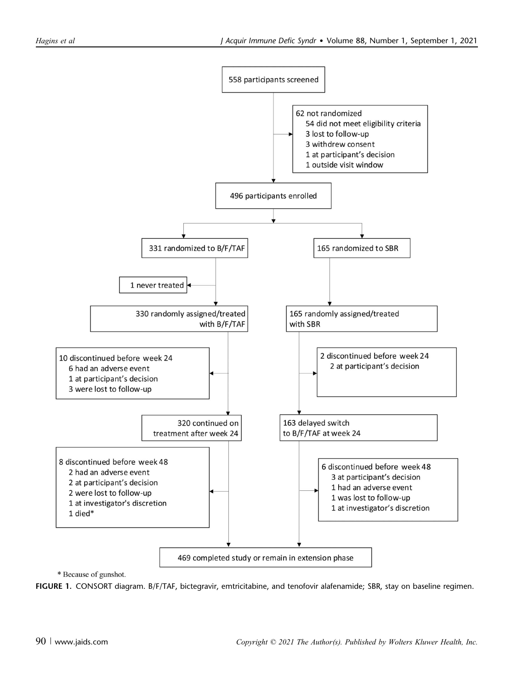

\* Because of gunshot.

FIGURE 1. CONSORT diagram. B/F/TAF, bictegravir, emtricitabine, and tenofovir alafenamide; SBR, stay on baseline regimen.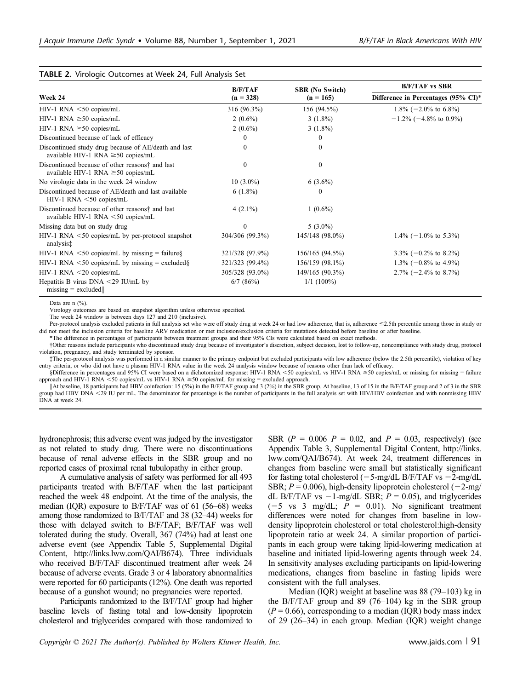#### TABLE 2. Virologic Outcomes at Week 24, Full Analysis Set

|                                                                                                 | B/F/TAF         | <b>SBR</b> (No Switch) | <b>B/F/TAF vs SBR</b><br>Difference in Percentages (95% CI)* |  |
|-------------------------------------------------------------------------------------------------|-----------------|------------------------|--------------------------------------------------------------|--|
| Week 24                                                                                         | $(n = 328)$     | $(n = 165)$            |                                                              |  |
| $HIV-1$ RNA $<$ 50 copies/mL                                                                    | 316 (96.3%)     | 156 (94.5%)            | 1.8% $(-2.0\% \text{ to } 6.8\%)$                            |  |
| HIV-1 RNA $\geq 50$ copies/mL                                                                   | $2(0.6\%)$      | $3(1.8\%)$             | $-1.2\%$ (-4.8% to 0.9%)                                     |  |
| HIV-1 RNA $\geq$ 50 copies/mL                                                                   | $2(0.6\%)$      | $3(1.8\%)$             |                                                              |  |
| Discontinued because of lack of efficacy                                                        | $_{0}$          | $\bf{0}$               |                                                              |  |
| Discontinued study drug because of AE/death and last<br>available HIV-1 RNA $\geq$ 50 copies/mL | 0               | $\theta$               |                                                              |  |
| Discontinued because of other reasons† and last<br>available HIV-1 RNA $\geq$ 50 copies/mL      | $\theta$        | $\theta$               |                                                              |  |
| No virologic data in the week 24 window                                                         | $10(3.0\%)$     | $6(3.6\%)$             |                                                              |  |
| Discontinued because of AE/death and last available<br>$HIV-1$ RNA $<$ 50 copies/mL             | $6(1.8\%)$      | $\theta$               |                                                              |  |
| Discontinued because of other reasons† and last<br>available HIV-1 RNA $\leq$ 50 copies/mL      | $4(2.1\%)$      | $1(0.6\%)$             |                                                              |  |
| Missing data but on study drug                                                                  | $\Omega$        | $5(3.0\%)$             |                                                              |  |
| $HIV-1$ RNA $\leq 50$ copies/mL by per-protocol snapshot<br>analysist                           | 304/306 (99.3%) | 145/148 (98.0%)        | $1.4\%$ (-1.0% to 5.3%)                                      |  |
| HIV-1 RNA $\leq 50$ copies/mL by missing = failure §                                            | 321/328 (97.9%) | 156/165 (94.5%)        | $3.3\% (-0.2\% \text{ to } 8.2\%)$                           |  |
| HIV-1 RNA $\leq 50$ copies/mL by missing = excluded §                                           | 321/323 (99.4%) | 156/159 (98.1%)        | $1.3\% (-0.8\% \text{ to } 4.9\%)$                           |  |
| $HIV-1$ RNA $\leq$ 20 copies/mL                                                                 | 305/328 (93.0%) | 149/165 (90.3%)        | $2.7\%$ (-2.4% to 8.7%)                                      |  |
| Hepatitis B virus $DNA < 29$ IU/mL by<br>$missing = excluded$                                   | $6/7$ $(86%)$   | $1/1(100\%)$           |                                                              |  |

Data are n  $(\% )$ .

Virology outcomes are based on snapshot algorithm unless otherwise specified.

The week 24 window is between days 127 and 210 (inclusive).

Per-protocol analysis excluded patients in full analysis set who were off study drug at week 24 or had low adherence, that is, adherence  $\leq$ 2.5th percentile among those in study or did not meet the inclusion criteria for baseline ARV medication or met inclusion/exclusion criteria for mutations detected before baseline or after baseline. \*The difference in percentages of participants between treatment groups and their 95% CIs were calculated based on exact methods.

†Other reasons include participants who discontinued study drug because of investigator's discretion, subject decision, lost to follow-up, noncompliance with study drug, protocol

violation, pregnancy, and study terminated by sponsor. ‡The per-protocol analysis was performed in a similar manner to the primary endpoint but excluded participants with low adherence (below the 2.5th percentile), violation of key

entry criteria, or who did not have a plasma HIV-1 RNA value in the week 24 analysis window because of reasons other than lack of efficacy. §Difference in percentages and 95% CI were based on a dichotomized response: HIV-1 RNA <50 copies/mL vs HIV-1 RNA ≥50 copies/mL or missing for missing = failure

approach and HIV-1 RNA  $<$  50 copies/mL vs HIV-1 RNA  $\geq$  50 copies/mL for missing = excluded approach.

kAt baseline, 18 participants had HBV coinfection: 15 (5%) in the B/F/TAF group and 3 (2%) in the SBR group. At baseline, 13 of 15 in the B/F/TAF group and 2 of 3 in the SBR group had HBV DNA <29 IU per mL. The denominator for percentage is the number of participants in the full analysis set with HIV/HBV coinfection and with nonmissing HBV DNA at week 24.

hydronephrosis; this adverse event was judged by the investigator as not related to study drug. There were no discontinuations because of renal adverse effects in the SBR group and no reported cases of proximal renal tubulopathy in either group.

A cumulative analysis of safety was performed for all 493 participants treated with B/F/TAF when the last participant reached the week 48 endpoint. At the time of the analysis, the median (IQR) exposure to B/F/TAF was of 61 (56–68) weeks among those randomized to B/F/TAF and 38 (32–44) weeks for those with delayed switch to B/F/TAF; B/F/TAF was well tolerated during the study. Overall, 367 (74%) had at least one adverse event (see Appendix Table 5, Supplemental Digital Content, [http://links.lww.com/QAI/B674\)](http://links.lww.com/QAI/B674). Three individuals who received B/F/TAF discontinued treatment after week 24 because of adverse events. Grade 3 or 4 laboratory abnormalities were reported for 60 participants (12%). One death was reported because of a gunshot wound; no pregnancies were reported.

Participants randomized to the B/F/TAF group had higher baseline levels of fasting total and low-density lipoprotein cholesterol and triglycerides compared with those randomized to SBR  $(P = 0.006 \ P = 0.02$ , and  $P = 0.03$ , respectively) (see Appendix Table 3, Supplemental Digital Content, [http://links.](http://links.lww.com/QAI/B674) [lww.com/QAI/B674\)](http://links.lww.com/QAI/B674). At week 24, treatment differences in changes from baseline were small but statistically significant for fasting total cholesterol  $(-5-mg/dL B/F/TAF$  vs  $-2-mg/dL$ SBR;  $P = 0.006$ ), high-density lipoprotein cholesterol (-2-mg/ dL B/F/TAF vs  $-1$ -mg/dL SBR;  $P = 0.05$ ), and triglycerides  $(-5 \text{ vs } 3 \text{ mg/dL}; P = 0.01)$ . No significant treatment differences were noted for changes from baseline in lowdensity lipoprotein cholesterol or total cholesterol:high-density lipoprotein ratio at week 24. A similar proportion of participants in each group were taking lipid-lowering medication at baseline and initiated lipid-lowering agents through week 24. In sensitivity analyses excluding participants on lipid-lowering medications, changes from baseline in fasting lipids were consistent with the full analyses.

Median (IQR) weight at baseline was 88 (79–103) kg in the B/F/TAF group and 89 (76–104) kg in the SBR group  $(P = 0.66)$ , corresponding to a median (IQR) body mass index of 29 (26–34) in each group. Median (IQR) weight change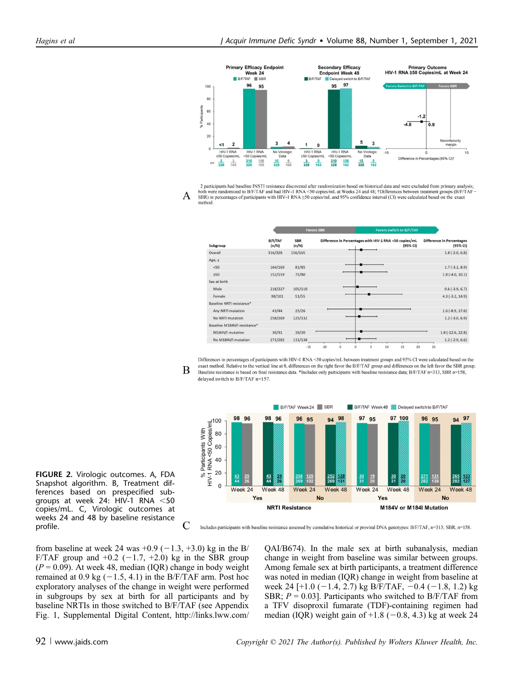

2 participants had baseline INSTI resistance discovered after randomization based on historical data and were excluded from primary analysis;<br>both were randomized to B/F/TAF and had HIV-1 RNA <50 copies/mL at Weeks 24 and A SBR) in percentages of participants with HIV-1 RNA ≥50 copies/mL and 95% confidence interval (CI) were calculated based on the exact method

|                              |                  |                     | <b>Favors SBR</b> | Favors switch to B/F/TAF                                           |                                              |
|------------------------------|------------------|---------------------|-------------------|--------------------------------------------------------------------|----------------------------------------------|
| Subgroup                     | B/F/TAF<br>(n/N) | <b>SBR</b><br>(n/N) |                   | Difference in Percentages with HIV-1 RNA <50 copies/mL<br>(95% CI) | <b>Difference in Percentages</b><br>(95% CI) |
| Overall                      | 316/328          | 156/165             |                   |                                                                    | $1.8(-2.0, 6.8)$                             |
| Age, y                       |                  |                     |                   |                                                                    |                                              |
| < 50                         | 164/169          | 81/85               |                   |                                                                    | $1.7(-3.2, 8.9)$                             |
| 250                          | 152/159          | 75/80               |                   |                                                                    | $1.8(-4.0, 10.1)$                            |
| Sex at birth                 |                  |                     |                   |                                                                    |                                              |
| Male                         | 218/227          | 105/110             |                   |                                                                    | $0.6$ (-3.9, 6.7)                            |
| Female                       | 98/101           | 51/55               |                   |                                                                    | $4.3$ (-3.2, 14.9)                           |
| Baseline NRTI resistance*    |                  |                     |                   |                                                                    |                                              |
| Any NRTI mutation            | 43/44            | 25/26               |                   |                                                                    | $1.6$ (-8.9, 17.6)                           |
| No NRTI mutation             | 258/269          | 125/132             |                   |                                                                    | $1.2$ (-3.0, 6.9)                            |
| Baseline M184V/I resistance* |                  |                     |                   |                                                                    |                                              |
| M184V/I mutation             | 30/31            | 19/20               |                   |                                                                    | $1.8(-12.6, 22.8)$                           |
| No M184V/I mutation          | 271/282          | 131/138             |                   |                                                                    | $1.2$ (-2.9, 6.6)                            |
|                              |                  | $-15$               | $-5$<br>$-10$     | 15<br>20<br>10<br>5<br>$\circ$                                     | 25                                           |





FIGURE 2. Virologic outcomes. A, FDA Snapshot algorithm. B, Treatment differences based on prespecified subgroups at week 24: HIV-1 RNA  $<$ 50 copies/mL. C, Virologic outcomes at weeks 24 and 48 by baseline resistance profile.

Includes participants with baseline resistance assessed by cumulative historical or proviral DNA genotypes: B/F/TAF, n=313; SBR, n=158.

from baseline at week 24 was  $+0.9$  ( $-1.3, +3.0$ ) kg in the B/ F/TAF group and  $+0.2$  ( $-1.7$ ,  $+2.0$ ) kg in the SBR group  $(P = 0.09)$ . At week 48, median (IQR) change in body weight remained at 0.9 kg  $(-1.5, 4.1)$  in the B/F/TAF arm. Post hoc exploratory analyses of the change in weight were performed in subgroups by sex at birth for all participants and by baseline NRTIs in those switched to B/F/TAF (see Appendix Fig. 1, Supplemental Digital Content, [http://links.lww.com/](http://links.lww.com/QAI/B674)

C

[QAI/B674\)](http://links.lww.com/QAI/B674). In the male sex at birth subanalysis, median change in weight from baseline was similar between groups. Among female sex at birth participants, a treatment difference was noted in median (IQR) change in weight from baseline at week 24 [+1.0 (-1.4, 2.7) kg B/F/TAF,  $-0.4$  (-1.8, 1.2) kg SBR;  $P = 0.03$ ]. Participants who switched to B/F/TAF from a TFV disoproxil fumarate (TDF)-containing regimen had median (IQR) weight gain of  $+1.8$  ( $-0.8$ , 4.3) kg at week 24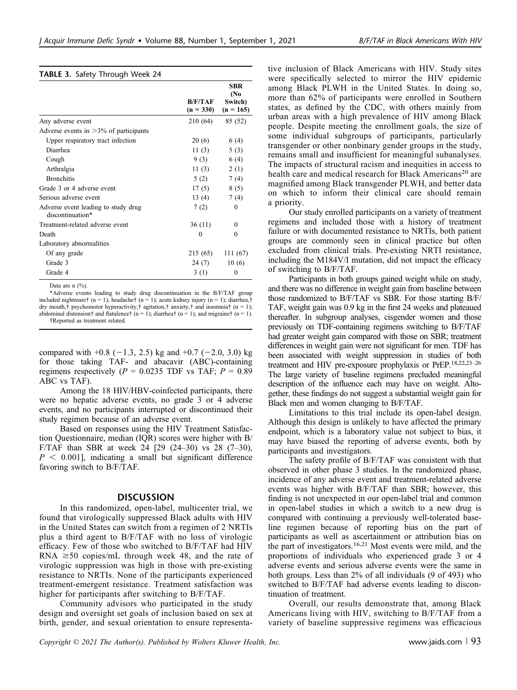|                                                         |                        | <b>SBR</b><br>(No      |
|---------------------------------------------------------|------------------------|------------------------|
|                                                         | B/F/TAF<br>$(n = 330)$ | Switch)<br>$(n = 165)$ |
| Any adverse event                                       | 210 (64)               | 85 (52)                |
| Adverse events in $>3\%$ of participants                |                        |                        |
| Upper respiratory tract infection                       | 20(6)                  | 6 (4)                  |
| Diarrhea                                                | 11 $(3)$               | 5(3)                   |
| Cough                                                   | 9(3)                   | 6(4)                   |
| Arthralgia                                              | 11 $(3)$               | 2(1)                   |
| <b>Bronchitis</b>                                       | 5(2)                   | 7(4)                   |
| Grade 3 or 4 adverse event                              | 17 $(5)$               | 8(5)                   |
| Serious adverse event                                   | 13 $(4)$               | 7(4)                   |
| Adverse event leading to study drug<br>discontinuation* | 7(2)                   | $\theta$               |
| Treatment-related adverse event                         | 36 (11)                | 0                      |
| Death                                                   | $\theta$               | $\Omega$               |
| Laboratory abnormalities                                |                        |                        |
| Of any grade                                            | 215 (65)               | 111 (67)               |
| Grade 3                                                 | 24 (7)                 | 10(6)                  |
| Grade 4                                                 | 3(1)                   | 0                      |

Data are n  $\left(\frac{0}{0}\right)$ .

\*Adverse events leading to study drug discontinuation in the B/F/TAF group included nightmare† (n = 1); headache† (n = 1); acute kidney injury (n = 1); diarrhea,† dry mouth, $\dagger$  psychomotor hyperactivity, $\dagger$  agitation, $\dagger$  anxiety, $\dagger$  and insomnia $\dagger$  (n = 1); abdominal distension† and flatulence†  $(n = 1)$ ; diarrhea†  $(n = 1)$ ; and migraine†  $(n = 1)$ . †Reported as treatment related.

compared with  $+0.8$  ( $-1.3$ , 2.5) kg and  $+0.7$  ( $-2.0$ , 3.0) kg for those taking TAF- and abacavir (ABC)-containing regimens respectively ( $P = 0.0235$  TDF vs TAF;  $P = 0.89$ ABC vs TAF).

Among the 18 HIV/HBV-coinfected participants, there were no hepatic adverse events, no grade 3 or 4 adverse events, and no participants interrupted or discontinued their study regimen because of an adverse event.

Based on responses using the HIV Treatment Satisfaction Questionnaire, median (IQR) scores were higher with B/ F/TAF than SBR at week 24  $[29 (24-30)$  vs 28  $(7-30)$ ,  $P \n\leq 0.001$ , indicating a small but significant difference favoring switch to B/F/TAF.

#### **DISCUSSION**

In this randomized, open-label, multicenter trial, we found that virologically suppressed Black adults with HIV in the United States can switch from a regimen of 2 NRTIs plus a third agent to B/F/TAF with no loss of virologic efficacy. Few of those who switched to B/F/TAF had HIV RNA  $\geq$ 50 copies/mL through week 48, and the rate of virologic suppression was high in those with pre-existing resistance to NRTIs. None of the participants experienced treatment-emergent resistance. Treatment satisfaction was higher for participants after switching to B/F/TAF.

Community advisors who participated in the study design and oversight set goals of inclusion based on sex at birth, gender, and sexual orientation to ensure representa-

tive inclusion of Black Americans with HIV. Study sites were specifically selected to mirror the HIV epidemic among Black PLWH in the United States. In doing so, more than 62% of participants were enrolled in Southern states, as defined by the CDC, with others mainly from urban areas with a high prevalence of HIV among Black people. Despite meeting the enrollment goals, the size of some individual subgroups of participants, particularly transgender or other nonbinary gender groups in the study, remains small and insufficient for meaningful subanalyses. The impacts of structural racism and inequities in access to health care and medical research for Black Americans<sup>20</sup> are magnified among Black transgender PLWH, and better data on which to inform their clinical care should remain a priority.

Our study enrolled participants on a variety of treatment regimens and included those with a history of treatment failure or with documented resistance to NRTIs, both patient groups are commonly seen in clinical practice but often excluded from clinical trials. Pre-existing NRTI resistance, including the M184V/I mutation, did not impact the efficacy of switching to B/F/TAF.

Participants in both groups gained weight while on study, and there was no difference in weight gain from baseline between those randomized to B/F/TAF vs SBR. For those starting B/F/ TAF, weight gain was 0.9 kg in the first 24 weeks and plateaued thereafter. In subgroup analyses, cisgender women and those previously on TDF-containing regimens switching to B/F/TAF had greater weight gain compared with those on SBR; treatment differences in weight gain were not significant for men. TDF has been associated with weight suppression in studies of both treatment and HIV pre-exposure prophylaxis or PrEP.18,22,23–<sup>26</sup> The large variety of baseline regimens precluded meaningful description of the influence each may have on weight. Altogether, these findings do not suggest a substantial weight gain for Black men and women changing to B/F/TAF.

Limitations to this trial include its open-label design. Although this design is unlikely to have affected the primary endpoint, which is a laboratory value not subject to bias, it may have biased the reporting of adverse events, both by participants and investigators.

The safety profile of B/F/TAF was consistent with that observed in other phase 3 studies. In the randomized phase, incidence of any adverse event and treatment-related adverse events was higher with B/F/TAF than SBR; however, this finding is not unexpected in our open-label trial and common in open-label studies in which a switch to a new drug is compared with continuing a previously well-tolerated baseline regimen because of reporting bias on the part of participants as well as ascertainment or attribution bias on the part of investigators.<sup>16,21</sup> Most events were mild, and the proportions of individuals who experienced grade 3 or 4 adverse events and serious adverse events were the same in both groups. Less than 2% of all individuals (9 of 493) who switched to B/F/TAF had adverse events leading to discontinuation of treatment.

Overall, our results demonstrate that, among Black Americans living with HIV, switching to B/F/TAF from a variety of baseline suppressive regimens was efficacious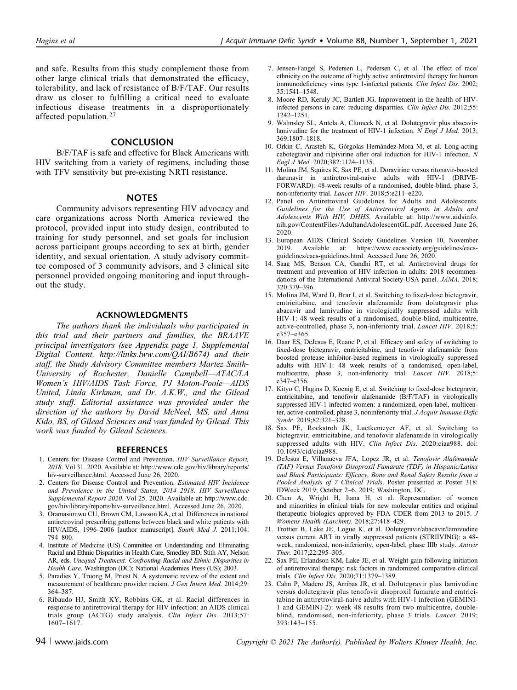and safe. Results from this study complement those from other large clinical trials that demonstrated the efficacy, tolerability, and lack of resistance of B/F/TAF. Our results draw us closer to fulfilling a critical need to evaluate infectious disease treatments in a disproportionately affected population.<sup>27</sup>

## **CONCLUSION**

B/F/TAF is safe and effective for Black Americans with HIV switching from a variety of regimens, including those with TFV sensitivity but pre-existing NRTI resistance.

#### **NOTES**

Community advisors representing HIV advocacy and care organizations across North America reviewed the protocol, provided input into study design, contributed to training for study personnel, and set goals for inclusion across participant groups according to sex at birth, gender identity, and sexual orientation. A study advisory committee composed of 3 community advisors, and 3 clinical site personnel provided ongoing monitoring and input throughout the study.

### ACKNOWLEDGMENTS

The authors thank the individuals who participated in this trial and their partners and families, the BRAAVE principal investigators (see Appendix page 1, Supplemental Digital Content,<http://links.lww.com/QAI/B674>) and their staff, the Study Advisory Committee members Martez Smith-University of Rochester, Danielle Campbell—ATAC/LA Women's HIV/AIDS Task Force, PJ Moton-Poole—AIDS United, Linda Kirkman, and Dr. A.K.W., and the Gilead study staff. Editorial assistance was provided under the direction of the authors by David McNeel, MS, and Anna Kido, BS, of Gilead Sciences and was funded by Gilead. This work was funded by Gilead Sciences.

#### **REFERENCES**

- 1. Centers for Disease Control and Prevention. HIV Surveillance Report, 2018. Vol 31. 2020. Available at: [http://www.cdc.gov/hiv/library/reports/](http://www.cdc.gov/hiv/library/reports/hiv-surveillance.html) [hiv-surveillance.html.](http://www.cdc.gov/hiv/library/reports/hiv-surveillance.html) Accessed June 26, 2020.
- 2. Centers for Disease Control and Prevention. Estimated HIV Incidence and Prevalence in the United States, 2014–2018. HIV Surveillance Supplemental Report 2020. Vol 25. 2020. Available at: [http://www.cdc.](http://www.cdc.gov/hiv/library/reports/hiv-surveillance.html) [gov/hiv/library/reports/hiv-surveillance.html](http://www.cdc.gov/hiv/library/reports/hiv-surveillance.html). Accessed June 26, 2020.
- 3. Oramasionwu CU, Brown CM, Lawson KA, et al. Differences in national antiretroviral prescribing patterns between black and white patients with HIV/AIDS, 1996–2006 [author manuscript]. South Med J. 2011;104: 794–800.
- 4. Institute of Medicine (US) Committee on Understanding and Eliminating Racial and Ethnic Disparities in Health Care, Smedley BD, Stith AY, Nelson AR, eds. Unequal Treatment: Confronting Racial and Ethnic Disparities in Health Care. Washington (DC): National Academies Press (US); 2003.
- 5. Paradies Y, Truong M, Priest N. A systematic review of the extent and measurement of healthcare provider racism. J Gen Intern Med. 2014;29: 364–387.
- 6. Ribaudo HJ, Smith KY, Robbins GK, et al. Racial differences in response to antiretroviral therapy for HIV infection: an AIDS clinical trials group (ACTG) study analysis. Clin Infect Dis. 2013;57:  $1607 - 1617.$
- 7. Jensen-Fangel S, Pedersen L, Pedersen C, et al. The effect of race/ ethnicity on the outcome of highly active antiretroviral therapy for human immunodeficiency virus type 1-infected patients. Clin Infect Dis. 2002; 35:1541–1548.
- 8. Moore RD, Keruly JC, Bartlett JG. Improvement in the health of HIVinfected persons in care: reducing disparities. Clin Infect Dis. 2012;55: 1242–1251.
- 9. Walmsley SL, Antela A, Clumeck N, et al. Dolutegravir plus abacavirlamivudine for the treatment of HIV-1 infection.  $N$  Engl J Med. 2013; 369:1807–1818.
- 10. Orkin C, Arasteh K, Górgolas Hernández-Mora M, et al. Long-acting cabotegravir and rilpivirine after oral induction for HIV-1 infection. N Engl J Med. 2020;382:1124–1135.
- 11. Molina JM, Squires K, Sax PE, et al. Doravirine versus ritonavir-boosted darunavir in antiretroviral-naive adults with HIV-1 (DRIVE-FORWARD): 48-week results of a randomised, double-blind, phase 3, non-inferiority trial. Lancet HIV. 2018;5:e211–e220.
- 12. Panel on Antiretroviral Guidelines for Adults and Adolescents. Guidelines for the Use of Antiretroviral Agents in Adults and Adolescents With HIV, DHHS. Available at: [http://www.aidsinfo.](http://www.aidsinfo.nih.gov/ContentFiles/AdultandAdolescentGL.pdf) [nih.gov/ContentFiles/AdultandAdolescentGL.pdf](http://www.aidsinfo.nih.gov/ContentFiles/AdultandAdolescentGL.pdf). Accessed June 26, 2020.
- 13. European AIDS Clinical Society Guidelines Version 10, November 2019. Available at: [https://www.eacsociety.org/guidelines/eacs](https://www.eacsociety.org/guidelines/eacs-guidelines/eacs-guidelines.html)[guidelines/eacs-guidelines.html](https://www.eacsociety.org/guidelines/eacs-guidelines/eacs-guidelines.html). Accessed June 26, 2020.
- 14. Saag MS, Benson CA, Gandhi RT, et al. Antiretroviral drugs for treatment and prevention of HIV infection in adults: 2018 recommendations of the International Antiviral Society-USA panel. JAMA. 2018; 320:379–396.
- 15. Molina JM, Ward D, Brar I, et al. Switching to fixed-dose bictegravir, emtricitabine, and tenofovir alafenamide from dolutegravir plus abacavir and lamivudine in virologically suppressed adults with HIV-1: 48 week results of a randomised, double-blind, multicentre, active-controlled, phase 3, non-inferiority trial. Lancet HIV. 2018;5: e357–e365.
- 16. Daar ES, DeJesus E, Ruane P, et al. Efficacy and safety of switching to fixed-dose bictegravir, emtricitabine, and tenofovir alafenamide from boosted protease inhibitor-based regimens in virologically suppressed adults with HIV-1: 48 week results of a randomised, open-label, multicentre, phase 3, non-inferiority trial. Lancet HIV. 2018;5: e347–e356.
- 17. Kityo C, Hagins D, Koenig E, et al. Switching to fixed-dose bictegravir, emtricitabine, and tenofovir alafenamide (B/F/TAF) in virologically suppressed HIV-1 infected women: a randomized, open-label, multicenter, active-controlled, phase 3, noninferiority trial. J Acquir Immune Defic Syndr. 2019;82:321–328.
- 18. Sax PE, Rockstroh JK, Luetkemeyer AF, et al. Switching to bictegravir, emtricitabine, and tenofovir alafenamide in virologically suppressed adults with HIV. Clin Infect Dis. 2020:ciaa988. doi: 10.1093/cid/ciaa988.
- 19. DeJesus E, Villanueva JFA, Lopez JR, et al. Tenofovir Alafenamide (TAF) Versus Tenofovir Disoproxil Fumarate (TDF) in Hispanic/Latinx and Black Participants: Efficacy, Bone and Renal Safety Results from a Pooled Analysis of 7 Clinical Trials. Poster presented at Poster 318: IDWeek 2019; October 2–6, 2019; Washington, DC.
- 20. Chen A, Wright H, Itana H, et al. Representation of women and minorities in clinical trials for new molecular entities and original therapeutic biologics approved by FDA CDER from 2013 to 2015. J Womens Health (Larchmt). 2018;27:418–429.
- 21. Trottier B, Lake JE, Logue K, et al. Dolutegravir/abacavir/lamivudine versus current ART in virally suppressed patients (STRIIVING): a 48 week, randomized, non-inferiority, open-label, phase IIIb study. Antivir Ther. 2017;22:295–305.
- 22. Sax PE, Erlandson KM, Lake JE, et al. Weight gain following initiation of antiretroviral therapy: risk factors in randomized comparative clinical trials. Clin Infect Dis. 2020;71:1379–1389.
- 23. Cahn P, Madero JS, Arribas JR, et al. Dolutegravir plus lamivudine versus dolutegravir plus tenofovir disoproxil fumarate and emtricitabine in antiretroviral-naive adults with HIV-1 infection (GEMINI-1 and GEMINI-2): week 48 results from two multicentre, doubleblind, randomised, non-inferiority, phase 3 trials. Lancet. 2019; 393:143–155.